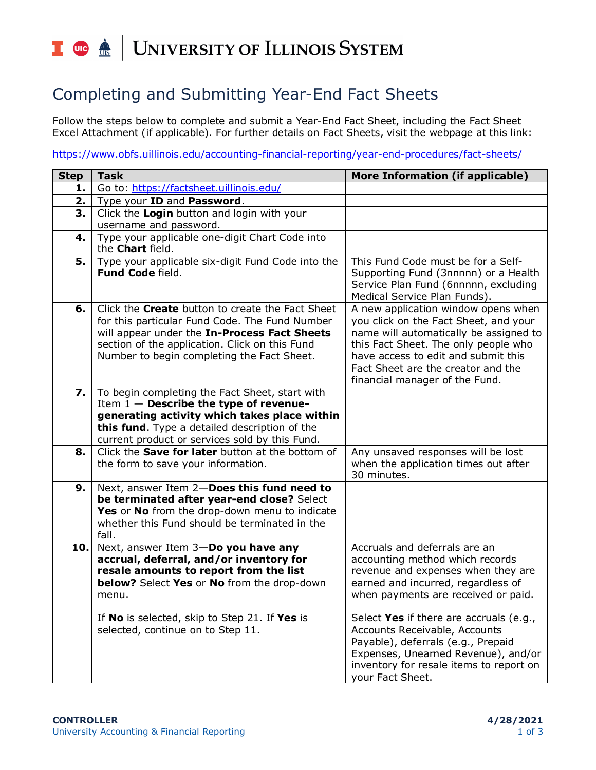## UNIVERSITY OF ILLINOIS SYSTEM T die <u>dis</u>

## Completing and Submitting Year-End Fact Sheets

Follow the steps below to complete and submit a Year-End Fact Sheet, including the Fact Sheet Excel Attachment (if applicable). For further details on Fact Sheets, visit the webpage at this link:

<https://www.obfs.uillinois.edu/accounting-financial-reporting/year-end-procedures/fact-sheets/>

| <b>Step</b> | <b>Task</b>                                                                                                                                                                                                                                               | More Information (if applicable)                                                                                                                                                                                                                                              |
|-------------|-----------------------------------------------------------------------------------------------------------------------------------------------------------------------------------------------------------------------------------------------------------|-------------------------------------------------------------------------------------------------------------------------------------------------------------------------------------------------------------------------------------------------------------------------------|
| 1.          | Go to: https://factsheet.uillinois.edu/                                                                                                                                                                                                                   |                                                                                                                                                                                                                                                                               |
| 2.          | Type your ID and Password.                                                                                                                                                                                                                                |                                                                                                                                                                                                                                                                               |
| 3.          | Click the Login button and login with your<br>username and password.                                                                                                                                                                                      |                                                                                                                                                                                                                                                                               |
| 4.          | Type your applicable one-digit Chart Code into<br>the Chart field.                                                                                                                                                                                        |                                                                                                                                                                                                                                                                               |
| 5.          | Type your applicable six-digit Fund Code into the<br>Fund Code field.                                                                                                                                                                                     | This Fund Code must be for a Self-<br>Supporting Fund (3nnnnn) or a Health<br>Service Plan Fund (6nnnnn, excluding<br>Medical Service Plan Funds).                                                                                                                            |
| 6.          | Click the <b>Create</b> button to create the Fact Sheet<br>for this particular Fund Code. The Fund Number<br>will appear under the In-Process Fact Sheets<br>section of the application. Click on this Fund<br>Number to begin completing the Fact Sheet. | A new application window opens when<br>you click on the Fact Sheet, and your<br>name will automatically be assigned to<br>this Fact Sheet. The only people who<br>have access to edit and submit this<br>Fact Sheet are the creator and the<br>financial manager of the Fund. |
| 7.          | To begin completing the Fact Sheet, start with<br>Item $1$ - Describe the type of revenue-<br>generating activity which takes place within<br>this fund. Type a detailed description of the<br>current product or services sold by this Fund.             |                                                                                                                                                                                                                                                                               |
| 8.          | Click the <b>Save for later</b> button at the bottom of<br>the form to save your information.                                                                                                                                                             | Any unsaved responses will be lost<br>when the application times out after<br>30 minutes.                                                                                                                                                                                     |
| 9.          | Next, answer Item 2-Does this fund need to<br>be terminated after year-end close? Select<br>Yes or No from the drop-down menu to indicate<br>whether this Fund should be terminated in the<br>fall.                                                       |                                                                                                                                                                                                                                                                               |
| 10.         | Next, answer Item 3-Do you have any<br>accrual, deferral, and/or inventory for<br>resale amounts to report from the list<br>below? Select Yes or No from the drop-down<br>menu.<br>If No is selected, skip to Step 21. If Yes is                          | Accruals and deferrals are an<br>accounting method which records<br>revenue and expenses when they are<br>earned and incurred, regardless of<br>when payments are received or paid.<br>Select Yes if there are accruals (e.g.,                                                |
|             | selected, continue on to Step 11.                                                                                                                                                                                                                         | Accounts Receivable, Accounts<br>Payable), deferrals (e.g., Prepaid<br>Expenses, Unearned Revenue), and/or<br>inventory for resale items to report on<br>your Fact Sheet.                                                                                                     |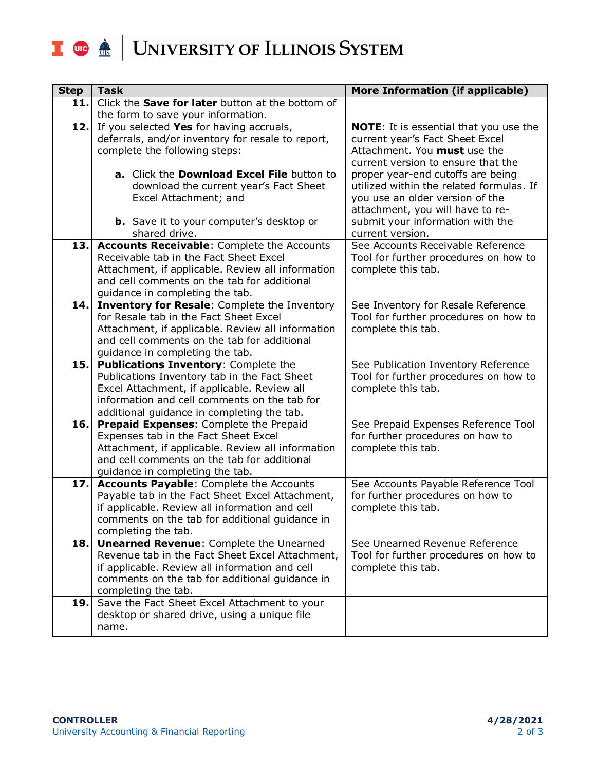## I **the ACCE** UNIVERSITY OF ILLINOIS SYSTEM

| <b>Step</b> | <b>Task</b>                                                                                      | More Information (if applicable)                                            |
|-------------|--------------------------------------------------------------------------------------------------|-----------------------------------------------------------------------------|
| 11.         | Click the <b>Save for later</b> button at the bottom of                                          |                                                                             |
|             | the form to save your information.                                                               |                                                                             |
| 12.         | If you selected Yes for having accruals,                                                         | <b>NOTE:</b> It is essential that you use the                               |
|             | deferrals, and/or inventory for resale to report,                                                | current year's Fact Sheet Excel                                             |
|             | complete the following steps:                                                                    | Attachment. You must use the<br>current version to ensure that the          |
|             | a. Click the Download Excel File button to                                                       | proper year-end cutoffs are being                                           |
|             | download the current year's Fact Sheet                                                           | utilized within the related formulas. If                                    |
|             | Excel Attachment; and                                                                            | you use an older version of the                                             |
|             |                                                                                                  | attachment, you will have to re-                                            |
|             | <b>b.</b> Save it to your computer's desktop or                                                  | submit your information with the                                            |
|             | shared drive.                                                                                    | current version.                                                            |
| 13.         | <b>Accounts Receivable:</b> Complete the Accounts                                                | See Accounts Receivable Reference                                           |
|             | Receivable tab in the Fact Sheet Excel                                                           | Tool for further procedures on how to                                       |
|             | Attachment, if applicable. Review all information                                                | complete this tab.                                                          |
|             | and cell comments on the tab for additional                                                      |                                                                             |
|             | guidance in completing the tab.                                                                  |                                                                             |
| 14.         | Inventory for Resale: Complete the Inventory<br>for Resale tab in the Fact Sheet Excel           | See Inventory for Resale Reference<br>Tool for further procedures on how to |
|             | Attachment, if applicable. Review all information                                                | complete this tab.                                                          |
|             | and cell comments on the tab for additional                                                      |                                                                             |
|             | guidance in completing the tab.                                                                  |                                                                             |
| 15.         | Publications Inventory: Complete the                                                             | See Publication Inventory Reference                                         |
|             | Publications Inventory tab in the Fact Sheet                                                     | Tool for further procedures on how to                                       |
|             | Excel Attachment, if applicable. Review all                                                      | complete this tab.                                                          |
|             | information and cell comments on the tab for                                                     |                                                                             |
|             | additional guidance in completing the tab.                                                       |                                                                             |
| 16.         | Prepaid Expenses: Complete the Prepaid<br>Expenses tab in the Fact Sheet Excel                   | See Prepaid Expenses Reference Tool<br>for further procedures on how to     |
|             | Attachment, if applicable. Review all information                                                | complete this tab.                                                          |
|             | and cell comments on the tab for additional                                                      |                                                                             |
|             | guidance in completing the tab.                                                                  |                                                                             |
| 17.         | <b>Accounts Payable:</b> Complete the Accounts                                                   | See Accounts Payable Reference Tool                                         |
|             | Payable tab in the Fact Sheet Excel Attachment,                                                  | for further procedures on how to                                            |
|             | if applicable. Review all information and cell                                                   | complete this tab.                                                          |
|             | comments on the tab for additional guidance in                                                   |                                                                             |
|             | completing the tab.                                                                              |                                                                             |
| 18.         | <b>Unearned Revenue: Complete the Unearned</b>                                                   | See Unearned Revenue Reference                                              |
|             | Revenue tab in the Fact Sheet Excel Attachment,                                                  | Tool for further procedures on how to                                       |
|             | if applicable. Review all information and cell<br>comments on the tab for additional guidance in | complete this tab.                                                          |
|             | completing the tab.                                                                              |                                                                             |
| 19.         | Save the Fact Sheet Excel Attachment to your                                                     |                                                                             |
|             | desktop or shared drive, using a unique file                                                     |                                                                             |
|             | name.                                                                                            |                                                                             |
|             |                                                                                                  |                                                                             |